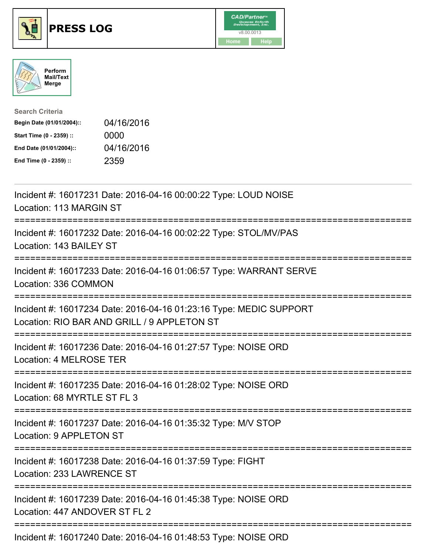





| <b>Search Criteria</b>    |            |
|---------------------------|------------|
| Begin Date (01/01/2004):: | 04/16/2016 |
| Start Time (0 - 2359) ::  | 0000       |
| End Date (01/01/2004)::   | 04/16/2016 |
| End Time (0 - 2359) ::    | 2359       |

| Incident #: 16017231 Date: 2016-04-16 00:00:22 Type: LOUD NOISE<br>Location: 113 MARGIN ST                                                        |
|---------------------------------------------------------------------------------------------------------------------------------------------------|
| Incident #: 16017232 Date: 2016-04-16 00:02:22 Type: STOL/MV/PAS<br>Location: 143 BAILEY ST<br>--------------                                     |
| Incident #: 16017233 Date: 2016-04-16 01:06:57 Type: WARRANT SERVE<br>Location: 336 COMMON<br>------------------                                  |
| Incident #: 16017234 Date: 2016-04-16 01:23:16 Type: MEDIC SUPPORT<br>Location: RIO BAR AND GRILL / 9 APPLETON ST<br>:=========================== |
| Incident #: 16017236 Date: 2016-04-16 01:27:57 Type: NOISE ORD<br>Location: 4 MELROSE TER                                                         |
| Incident #: 16017235 Date: 2016-04-16 01:28:02 Type: NOISE ORD<br>Location: 68 MYRTLE ST FL 3                                                     |
| Incident #: 16017237 Date: 2016-04-16 01:35:32 Type: M/V STOP<br><b>Location: 9 APPLETON ST</b>                                                   |
| Incident #: 16017238 Date: 2016-04-16 01:37:59 Type: FIGHT<br>Location: 233 LAWRENCE ST                                                           |
| Incident #: 16017239 Date: 2016-04-16 01:45:38 Type: NOISE ORD<br>Location: 447 ANDOVER ST FL 2                                                   |
| Incident #: 16017240 Date: 2016-04-16 01:48:53 Type: NOISE ORD                                                                                    |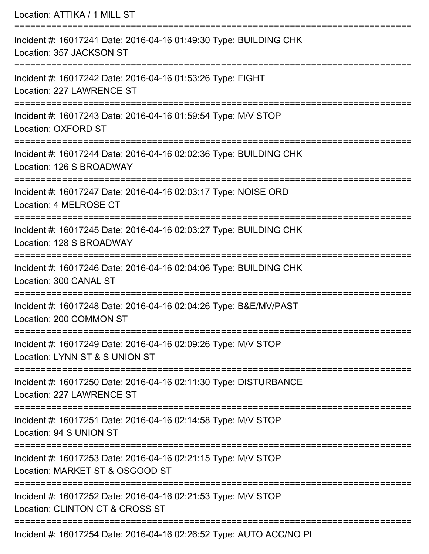Location: ATTIKA / 1 MILL ST =========================================================================== Incident #: 16017241 Date: 2016-04-16 01:49:30 Type: BUILDING CHK Location: 357 JACKSON ST =========================================================================== Incident #: 16017242 Date: 2016-04-16 01:53:26 Type: FIGHT Location: 227 LAWRENCE ST =========================================================================== Incident #: 16017243 Date: 2016-04-16 01:59:54 Type: M/V STOP Location: OXFORD ST =========================================================================== Incident #: 16017244 Date: 2016-04-16 02:02:36 Type: BUILDING CHK Location: 126 S BROADWAY =========================================================================== Incident #: 16017247 Date: 2016-04-16 02:03:17 Type: NOISE ORD Location: 4 MELROSE CT =========================================================================== Incident #: 16017245 Date: 2016-04-16 02:03:27 Type: BUILDING CHK Location: 128 S BROADWAY =========================================================================== Incident #: 16017246 Date: 2016-04-16 02:04:06 Type: BUILDING CHK Location: 300 CANAL ST =========================================================================== Incident #: 16017248 Date: 2016-04-16 02:04:26 Type: B&E/MV/PAST Location: 200 COMMON ST =========================================================================== Incident #: 16017249 Date: 2016-04-16 02:09:26 Type: M/V STOP Location: LYNN ST & S UNION ST =========================================================================== Incident #: 16017250 Date: 2016-04-16 02:11:30 Type: DISTURBANCE Location: 227 LAWRENCE ST =========================================================================== Incident #: 16017251 Date: 2016-04-16 02:14:58 Type: M/V STOP Location: 94 S UNION ST =========================================================================== Incident #: 16017253 Date: 2016-04-16 02:21:15 Type: M/V STOP Location: MARKET ST & OSGOOD ST =========================================================================== Incident #: 16017252 Date: 2016-04-16 02:21:53 Type: M/V STOP Location: CLINTON CT & CROSS ST =========================================================================== Incident #: 16017254 Date: 2016-04-16 02:26:52 Type: AUTO ACC/NO PI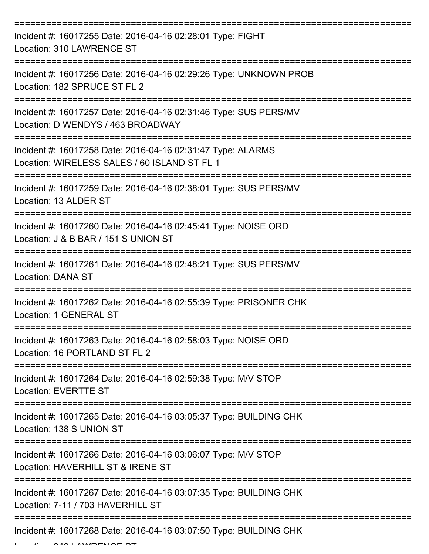| Incident #: 16017255 Date: 2016-04-16 02:28:01 Type: FIGHT<br>Location: 310 LAWRENCE ST                     |
|-------------------------------------------------------------------------------------------------------------|
| Incident #: 16017256 Date: 2016-04-16 02:29:26 Type: UNKNOWN PROB<br>Location: 182 SPRUCE ST FL 2           |
| Incident #: 16017257 Date: 2016-04-16 02:31:46 Type: SUS PERS/MV<br>Location: D WENDYS / 463 BROADWAY       |
| Incident #: 16017258 Date: 2016-04-16 02:31:47 Type: ALARMS<br>Location: WIRELESS SALES / 60 ISLAND ST FL 1 |
| Incident #: 16017259 Date: 2016-04-16 02:38:01 Type: SUS PERS/MV<br>Location: 13 ALDER ST                   |
| Incident #: 16017260 Date: 2016-04-16 02:45:41 Type: NOISE ORD<br>Location: J & B BAR / 151 S UNION ST      |
| Incident #: 16017261 Date: 2016-04-16 02:48:21 Type: SUS PERS/MV<br><b>Location: DANA ST</b>                |
| Incident #: 16017262 Date: 2016-04-16 02:55:39 Type: PRISONER CHK<br>Location: 1 GENERAL ST                 |
| Incident #: 16017263 Date: 2016-04-16 02:58:03 Type: NOISE ORD<br>Location: 16 PORTLAND ST FL 2             |
| Incident #: 16017264 Date: 2016-04-16 02:59:38 Type: M/V STOP<br><b>Location: EVERTTE ST</b>                |
| Incident #: 16017265 Date: 2016-04-16 03:05:37 Type: BUILDING CHK<br>Location: 138 S UNION ST               |
| Incident #: 16017266 Date: 2016-04-16 03:06:07 Type: M/V STOP<br>Location: HAVERHILL ST & IRENE ST          |
| Incident #: 16017267 Date: 2016-04-16 03:07:35 Type: BUILDING CHK<br>Location: 7-11 / 703 HAVERHILL ST      |
| Incident #: 16017268 Date: 2016-04-16 03:07:50 Type: BUILDING CHK                                           |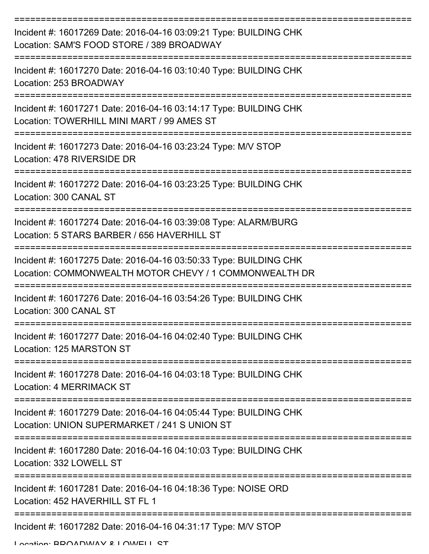| Incident #: 16017269 Date: 2016-04-16 03:09:21 Type: BUILDING CHK<br>Location: SAM'S FOOD STORE / 389 BROADWAY              |
|-----------------------------------------------------------------------------------------------------------------------------|
| Incident #: 16017270 Date: 2016-04-16 03:10:40 Type: BUILDING CHK<br>Location: 253 BROADWAY                                 |
| Incident #: 16017271 Date: 2016-04-16 03:14:17 Type: BUILDING CHK<br>Location: TOWERHILL MINI MART / 99 AMES ST             |
| Incident #: 16017273 Date: 2016-04-16 03:23:24 Type: M/V STOP<br>Location: 478 RIVERSIDE DR                                 |
| Incident #: 16017272 Date: 2016-04-16 03:23:25 Type: BUILDING CHK<br>Location: 300 CANAL ST                                 |
| Incident #: 16017274 Date: 2016-04-16 03:39:08 Type: ALARM/BURG<br>Location: 5 STARS BARBER / 656 HAVERHILL ST              |
| Incident #: 16017275 Date: 2016-04-16 03:50:33 Type: BUILDING CHK<br>Location: COMMONWEALTH MOTOR CHEVY / 1 COMMONWEALTH DR |
| Incident #: 16017276 Date: 2016-04-16 03:54:26 Type: BUILDING CHK<br>Location: 300 CANAL ST                                 |
| Incident #: 16017277 Date: 2016-04-16 04:02:40 Type: BUILDING CHK<br>Location: 125 MARSTON ST                               |
| Incident #: 16017278 Date: 2016-04-16 04:03:18 Type: BUILDING CHK<br><b>Location: 4 MERRIMACK ST</b>                        |
| Incident #: 16017279 Date: 2016-04-16 04:05:44 Type: BUILDING CHK<br>Location: UNION SUPERMARKET / 241 S UNION ST           |
| Incident #: 16017280 Date: 2016-04-16 04:10:03 Type: BUILDING CHK<br>Location: 332 LOWELL ST                                |
| Incident #: 16017281 Date: 2016-04-16 04:18:36 Type: NOISE ORD<br>Location: 452 HAVERHILL ST FL 1                           |
| Incident #: 16017282 Date: 2016-04-16 04:31:17 Type: M/V STOP                                                               |

Location: BROADWAY & LOWELL ST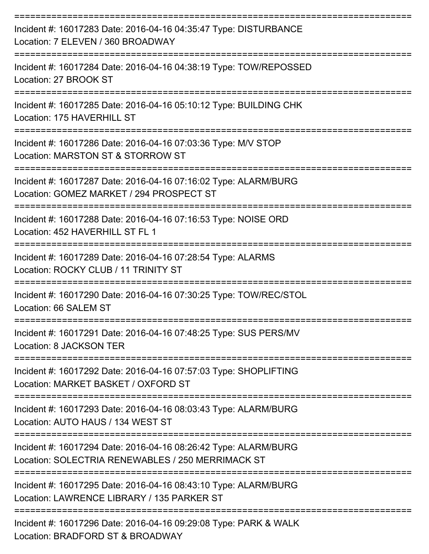| Incident #: 16017283 Date: 2016-04-16 04:35:47 Type: DISTURBANCE<br>Location: 7 ELEVEN / 360 BROADWAY                |
|----------------------------------------------------------------------------------------------------------------------|
| Incident #: 16017284 Date: 2016-04-16 04:38:19 Type: TOW/REPOSSED<br>Location: 27 BROOK ST                           |
| Incident #: 16017285 Date: 2016-04-16 05:10:12 Type: BUILDING CHK<br>Location: 175 HAVERHILL ST                      |
| Incident #: 16017286 Date: 2016-04-16 07:03:36 Type: M/V STOP<br>Location: MARSTON ST & STORROW ST                   |
| Incident #: 16017287 Date: 2016-04-16 07:16:02 Type: ALARM/BURG<br>Location: GOMEZ MARKET / 294 PROSPECT ST          |
| Incident #: 16017288 Date: 2016-04-16 07:16:53 Type: NOISE ORD<br>Location: 452 HAVERHILL ST FL 1                    |
| Incident #: 16017289 Date: 2016-04-16 07:28:54 Type: ALARMS<br>Location: ROCKY CLUB / 11 TRINITY ST                  |
| Incident #: 16017290 Date: 2016-04-16 07:30:25 Type: TOW/REC/STOL<br>Location: 66 SALEM ST                           |
| Incident #: 16017291 Date: 2016-04-16 07:48:25 Type: SUS PERS/MV<br>Location: 8 JACKSON TER                          |
| Incident #: 16017292 Date: 2016-04-16 07:57:03 Type: SHOPLIFTING<br>Location: MARKET BASKET / OXFORD ST              |
| Incident #: 16017293 Date: 2016-04-16 08:03:43 Type: ALARM/BURG<br>Location: AUTO HAUS / 134 WEST ST                 |
| Incident #: 16017294 Date: 2016-04-16 08:26:42 Type: ALARM/BURG<br>Location: SOLECTRIA RENEWABLES / 250 MERRIMACK ST |
| Incident #: 16017295 Date: 2016-04-16 08:43:10 Type: ALARM/BURG<br>Location: LAWRENCE LIBRARY / 135 PARKER ST        |
| ==================<br>Incident #: 16017296 Date: 2016-04-16 09:29:08 Type: PARK & WALK                               |

Location: BRADFORD ST & BROADWAY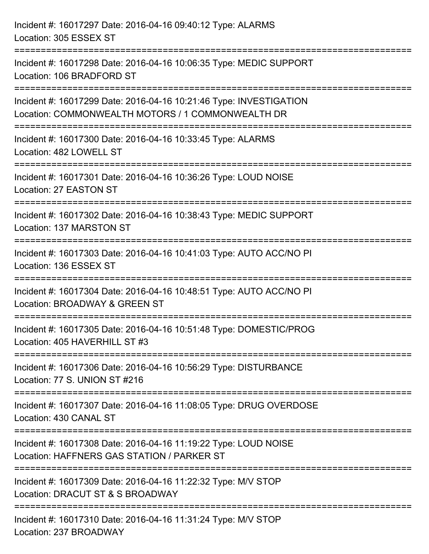| Incident #: 16017297 Date: 2016-04-16 09:40:12 Type: ALARMS<br>Location: 305 ESSEX ST                                                         |  |
|-----------------------------------------------------------------------------------------------------------------------------------------------|--|
| Incident #: 16017298 Date: 2016-04-16 10:06:35 Type: MEDIC SUPPORT<br>Location: 106 BRADFORD ST                                               |  |
| Incident #: 16017299 Date: 2016-04-16 10:21:46 Type: INVESTIGATION<br>Location: COMMONWEALTH MOTORS / 1 COMMONWEALTH DR                       |  |
| Incident #: 16017300 Date: 2016-04-16 10:33:45 Type: ALARMS<br>Location: 482 LOWELL ST                                                        |  |
| Incident #: 16017301 Date: 2016-04-16 10:36:26 Type: LOUD NOISE<br>Location: 27 EASTON ST                                                     |  |
| Incident #: 16017302 Date: 2016-04-16 10:38:43 Type: MEDIC SUPPORT<br>Location: 137 MARSTON ST                                                |  |
| Incident #: 16017303 Date: 2016-04-16 10:41:03 Type: AUTO ACC/NO PI<br>Location: 136 ESSEX ST                                                 |  |
| Incident #: 16017304 Date: 2016-04-16 10:48:51 Type: AUTO ACC/NO PI<br>Location: BROADWAY & GREEN ST                                          |  |
| Incident #: 16017305 Date: 2016-04-16 10:51:48 Type: DOMESTIC/PROG<br>Location: 405 HAVERHILL ST #3                                           |  |
| Incident #: 16017306 Date: 2016-04-16 10:56:29 Type: DISTURBANCE<br>Location: 77 S. UNION ST #216                                             |  |
| Incident #: 16017307 Date: 2016-04-16 11:08:05 Type: DRUG OVERDOSE<br>Location: 430 CANAL ST                                                  |  |
| ============================<br>Incident #: 16017308 Date: 2016-04-16 11:19:22 Type: LOUD NOISE<br>Location: HAFFNERS GAS STATION / PARKER ST |  |
| Incident #: 16017309 Date: 2016-04-16 11:22:32 Type: M/V STOP<br>Location: DRACUT ST & S BROADWAY                                             |  |
| Incident #: 16017310 Date: 2016-04-16 11:31:24 Type: M/V STOP<br>Location: 237 BROADWAY                                                       |  |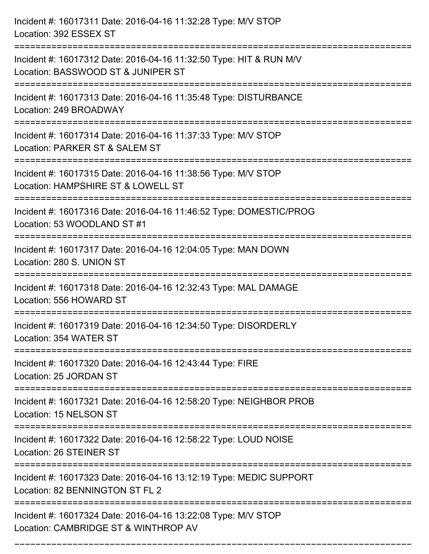| Incident #: 16017311 Date: 2016-04-16 11:32:28 Type: M/V STOP<br>Location: 392 ESSEX ST                                                                  |
|----------------------------------------------------------------------------------------------------------------------------------------------------------|
| Incident #: 16017312 Date: 2016-04-16 11:32:50 Type: HIT & RUN M/V<br>Location: BASSWOOD ST & JUNIPER ST                                                 |
| Incident #: 16017313 Date: 2016-04-16 11:35:48 Type: DISTURBANCE<br>Location: 249 BROADWAY                                                               |
| Incident #: 16017314 Date: 2016-04-16 11:37:33 Type: M/V STOP<br>Location: PARKER ST & SALEM ST                                                          |
| Incident #: 16017315 Date: 2016-04-16 11:38:56 Type: M/V STOP<br>Location: HAMPSHIRE ST & LOWELL ST                                                      |
| Incident #: 16017316 Date: 2016-04-16 11:46:52 Type: DOMESTIC/PROG<br>Location: 53 WOODLAND ST #1                                                        |
| Incident #: 16017317 Date: 2016-04-16 12:04:05 Type: MAN DOWN<br>Location: 280 S. UNION ST                                                               |
| Incident #: 16017318 Date: 2016-04-16 12:32:43 Type: MAL DAMAGE<br>Location: 556 HOWARD ST                                                               |
| Incident #: 16017319 Date: 2016-04-16 12:34:50 Type: DISORDERLY<br>Location: 354 WATER ST<br>======================<br>================================= |
| Incident #: 16017320 Date: 2016-04-16 12:43:44 Type: FIRE<br>Location: 25 JORDAN ST                                                                      |
| Incident #: 16017321 Date: 2016-04-16 12:58:20 Type: NEIGHBOR PROB<br>Location: 15 NELSON ST                                                             |
| Incident #: 16017322 Date: 2016-04-16 12:58:22 Type: LOUD NOISE<br>Location: 26 STEINER ST                                                               |
| Incident #: 16017323 Date: 2016-04-16 13:12:19 Type: MEDIC SUPPORT<br>Location: 82 BENNINGTON ST FL 2                                                    |
| Incident #: 16017324 Date: 2016-04-16 13:22:08 Type: M/V STOP<br>Location: CAMBRIDGE ST & WINTHROP AV                                                    |

===========================================================================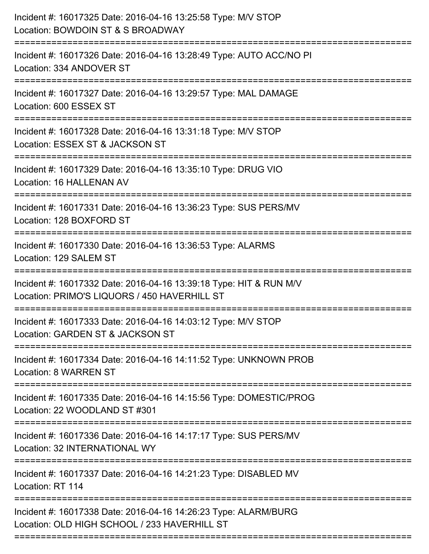| Incident #: 16017325 Date: 2016-04-16 13:25:58 Type: M/V STOP<br>Location: BOWDOIN ST & S BROADWAY<br>:======================== |
|---------------------------------------------------------------------------------------------------------------------------------|
| Incident #: 16017326 Date: 2016-04-16 13:28:49 Type: AUTO ACC/NO PI<br>Location: 334 ANDOVER ST                                 |
| Incident #: 16017327 Date: 2016-04-16 13:29:57 Type: MAL DAMAGE<br>Location: 600 ESSEX ST                                       |
| Incident #: 16017328 Date: 2016-04-16 13:31:18 Type: M/V STOP<br>Location: ESSEX ST & JACKSON ST                                |
| Incident #: 16017329 Date: 2016-04-16 13:35:10 Type: DRUG VIO<br>Location: 16 HALLENAN AV                                       |
| Incident #: 16017331 Date: 2016-04-16 13:36:23 Type: SUS PERS/MV<br>Location: 128 BOXFORD ST                                    |
| Incident #: 16017330 Date: 2016-04-16 13:36:53 Type: ALARMS<br>Location: 129 SALEM ST<br>:=============================         |
| Incident #: 16017332 Date: 2016-04-16 13:39:18 Type: HIT & RUN M/V<br>Location: PRIMO'S LIQUORS / 450 HAVERHILL ST              |
| Incident #: 16017333 Date: 2016-04-16 14:03:12 Type: M/V STOP<br>Location: GARDEN ST & JACKSON ST                               |
| Incident #: 16017334 Date: 2016-04-16 14:11:52 Type: UNKNOWN PROB<br><b>Location: 8 WARREN ST</b>                               |
| Incident #: 16017335 Date: 2016-04-16 14:15:56 Type: DOMESTIC/PROG<br>Location: 22 WOODLAND ST #301                             |
| Incident #: 16017336 Date: 2016-04-16 14:17:17 Type: SUS PERS/MV<br>Location: 32 INTERNATIONAL WY                               |
| Incident #: 16017337 Date: 2016-04-16 14:21:23 Type: DISABLED MV<br>Location: RT 114                                            |
| Incident #: 16017338 Date: 2016-04-16 14:26:23 Type: ALARM/BURG<br>Location: OLD HIGH SCHOOL / 233 HAVERHILL ST                 |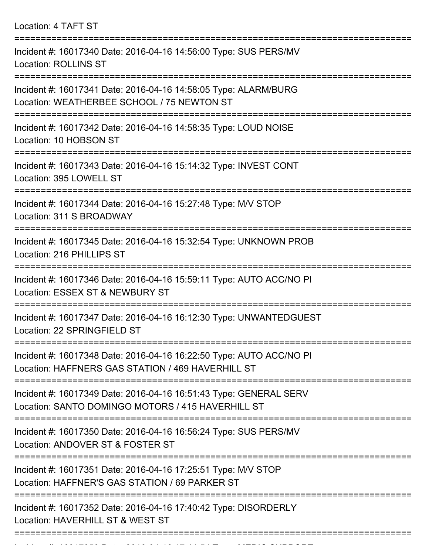Location: 4 TAFT ST =========================================================================== Incident #: 16017340 Date: 2016-04-16 14:56:00 Type: SUS PERS/MV Location: ROLLINS ST =========================================================================== Incident #: 16017341 Date: 2016-04-16 14:58:05 Type: ALARM/BURG Location: WEATHERBEE SCHOOL / 75 NEWTON ST =========================================================================== Incident #: 16017342 Date: 2016-04-16 14:58:35 Type: LOUD NOISE Location: 10 HOBSON ST =========================================================================== Incident #: 16017343 Date: 2016-04-16 15:14:32 Type: INVEST CONT Location: 395 LOWELL ST =========================================================================== Incident #: 16017344 Date: 2016-04-16 15:27:48 Type: M/V STOP Location: 311 S BROADWAY =========================================================================== Incident #: 16017345 Date: 2016-04-16 15:32:54 Type: UNKNOWN PROB Location: 216 PHILLIPS ST =========================================================================== Incident #: 16017346 Date: 2016-04-16 15:59:11 Type: AUTO ACC/NO PI Location: ESSEX ST & NEWBURY ST =========================================================================== Incident #: 16017347 Date: 2016-04-16 16:12:30 Type: UNWANTEDGUEST Location: 22 SPRINGFIELD ST =========================================================================== Incident #: 16017348 Date: 2016-04-16 16:22:50 Type: AUTO ACC/NO PI Location: HAFFNERS GAS STATION / 469 HAVERHILL ST =========================================================================== Incident #: 16017349 Date: 2016-04-16 16:51:43 Type: GENERAL SERV Location: SANTO DOMINGO MOTORS / 415 HAVERHILL ST =========================================================================== Incident #: 16017350 Date: 2016-04-16 16:56:24 Type: SUS PERS/MV Location: ANDOVER ST & FOSTER ST =========================================================================== Incident #: 16017351 Date: 2016-04-16 17:25:51 Type: M/V STOP Location: HAFFNER'S GAS STATION / 69 PARKER ST =========================================================================== Incident #: 16017352 Date: 2016-04-16 17:40:42 Type: DISORDERLY Location: HAVERHILL ST & WEST ST

===========================================================================

Incident #: 16017353 Date: 2016 04 16 17:41:54 Type: MEDIC SUPPORT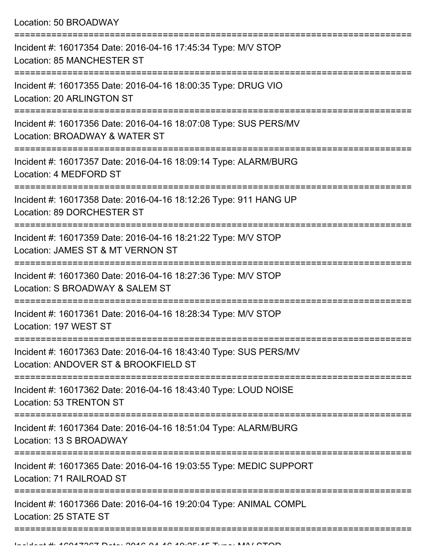Location: 50 BROADWAY

| Incident #: 16017354 Date: 2016-04-16 17:45:34 Type: M/V STOP<br>Location: 85 MANCHESTER ST              |
|----------------------------------------------------------------------------------------------------------|
| Incident #: 16017355 Date: 2016-04-16 18:00:35 Type: DRUG VIO<br>Location: 20 ARLINGTON ST               |
| Incident #: 16017356 Date: 2016-04-16 18:07:08 Type: SUS PERS/MV<br>Location: BROADWAY & WATER ST        |
| Incident #: 16017357 Date: 2016-04-16 18:09:14 Type: ALARM/BURG<br>Location: 4 MEDFORD ST                |
| Incident #: 16017358 Date: 2016-04-16 18:12:26 Type: 911 HANG UP<br>Location: 89 DORCHESTER ST           |
| Incident #: 16017359 Date: 2016-04-16 18:21:22 Type: M/V STOP<br>Location: JAMES ST & MT VERNON ST       |
| Incident #: 16017360 Date: 2016-04-16 18:27:36 Type: M/V STOP<br>Location: S BROADWAY & SALEM ST         |
| Incident #: 16017361 Date: 2016-04-16 18:28:34 Type: M/V STOP<br>Location: 197 WEST ST                   |
| Incident #: 16017363 Date: 2016-04-16 18:43:40 Type: SUS PERS/MV<br>Location: ANDOVER ST & BROOKFIELD ST |
| Incident #: 16017362 Date: 2016-04-16 18:43:40 Type: LOUD NOISE<br>Location: 53 TRENTON ST               |
| Incident #: 16017364 Date: 2016-04-16 18:51:04 Type: ALARM/BURG<br>Location: 13 S BROADWAY               |
| Incident #: 16017365 Date: 2016-04-16 19:03:55 Type: MEDIC SUPPORT<br>Location: 71 RAILROAD ST           |
| Incident #: 16017366 Date: 2016-04-16 19:20:04 Type: ANIMAL COMPL<br>Location: 25 STATE ST               |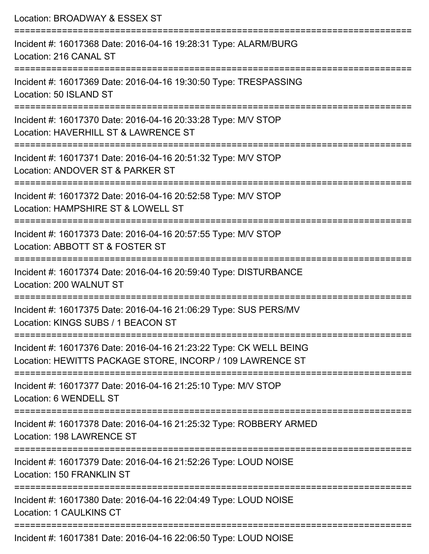| Location: BROADWAY & ESSEX ST                                                                                                            |
|------------------------------------------------------------------------------------------------------------------------------------------|
| Incident #: 16017368 Date: 2016-04-16 19:28:31 Type: ALARM/BURG<br>Location: 216 CANAL ST                                                |
| Incident #: 16017369 Date: 2016-04-16 19:30:50 Type: TRESPASSING<br>Location: 50 ISLAND ST                                               |
| Incident #: 16017370 Date: 2016-04-16 20:33:28 Type: M/V STOP<br>Location: HAVERHILL ST & LAWRENCE ST                                    |
| :=================================<br>Incident #: 16017371 Date: 2016-04-16 20:51:32 Type: M/V STOP<br>Location: ANDOVER ST & PARKER ST  |
| Incident #: 16017372 Date: 2016-04-16 20:52:58 Type: M/V STOP<br>Location: HAMPSHIRE ST & LOWELL ST                                      |
| Incident #: 16017373 Date: 2016-04-16 20:57:55 Type: M/V STOP<br>Location: ABBOTT ST & FOSTER ST                                         |
| Incident #: 16017374 Date: 2016-04-16 20:59:40 Type: DISTURBANCE<br>Location: 200 WALNUT ST                                              |
| Incident #: 16017375 Date: 2016-04-16 21:06:29 Type: SUS PERS/MV<br>Location: KINGS SUBS / 1 BEACON ST                                   |
| Incident #: 16017376 Date: 2016-04-16 21:23:22 Type: CK WELL BEING<br>Location: HEWITTS PACKAGE STORE, INCORP / 109 LAWRENCE ST          |
| Incident #: 16017377 Date: 2016-04-16 21:25:10 Type: M/V STOP<br>Location: 6 WENDELL ST                                                  |
| =====================================<br>Incident #: 16017378 Date: 2016-04-16 21:25:32 Type: ROBBERY ARMED<br>Location: 198 LAWRENCE ST |
| Incident #: 16017379 Date: 2016-04-16 21:52:26 Type: LOUD NOISE<br>Location: 150 FRANKLIN ST                                             |
| Incident #: 16017380 Date: 2016-04-16 22:04:49 Type: LOUD NOISE<br><b>Location: 1 CAULKINS CT</b>                                        |
| Incident #: 16017381 Date: 2016-04-16 22:06:50 Type: LOUD NOISE                                                                          |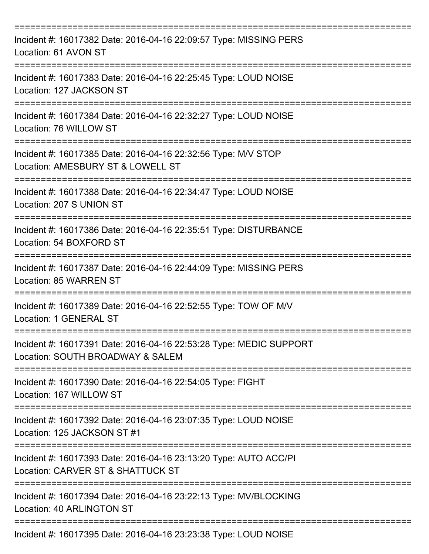| Incident #: 16017382 Date: 2016-04-16 22:09:57 Type: MISSING PERS<br>Location: 61 AVON ST                                |
|--------------------------------------------------------------------------------------------------------------------------|
| Incident #: 16017383 Date: 2016-04-16 22:25:45 Type: LOUD NOISE<br>Location: 127 JACKSON ST                              |
| Incident #: 16017384 Date: 2016-04-16 22:32:27 Type: LOUD NOISE<br>Location: 76 WILLOW ST                                |
| Incident #: 16017385 Date: 2016-04-16 22:32:56 Type: M/V STOP<br>Location: AMESBURY ST & LOWELL ST                       |
| Incident #: 16017388 Date: 2016-04-16 22:34:47 Type: LOUD NOISE<br>Location: 207 S UNION ST                              |
| Incident #: 16017386 Date: 2016-04-16 22:35:51 Type: DISTURBANCE<br>Location: 54 BOXFORD ST                              |
| Incident #: 16017387 Date: 2016-04-16 22:44:09 Type: MISSING PERS<br><b>Location: 85 WARREN ST</b>                       |
| Incident #: 16017389 Date: 2016-04-16 22:52:55 Type: TOW OF M/V<br>Location: 1 GENERAL ST                                |
| ==============<br>Incident #: 16017391 Date: 2016-04-16 22:53:28 Type: MEDIC SUPPORT<br>Location: SOUTH BROADWAY & SALEM |
| Incident #: 16017390 Date: 2016-04-16 22:54:05 Type: FIGHT<br>Location: 167 WILLOW ST                                    |
| Incident #: 16017392 Date: 2016-04-16 23:07:35 Type: LOUD NOISE<br>Location: 125 JACKSON ST #1                           |
| Incident #: 16017393 Date: 2016-04-16 23:13:20 Type: AUTO ACC/PI<br>Location: CARVER ST & SHATTUCK ST                    |
| Incident #: 16017394 Date: 2016-04-16 23:22:13 Type: MV/BLOCKING<br>Location: 40 ARLINGTON ST                            |
| Incident #: 16017395 Date: 2016-04-16 23:23:38 Type: LOUD NOISE                                                          |